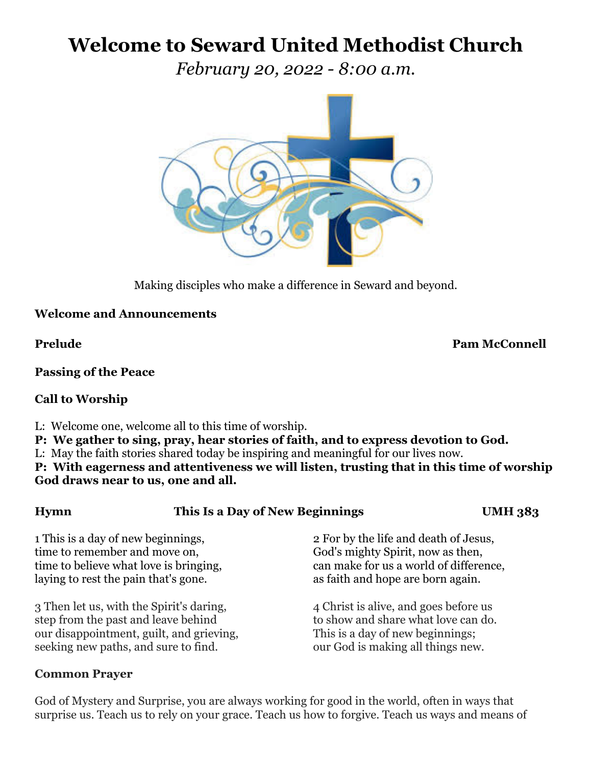# **Welcome to Seward United Methodist Church**

*February 20, 2022 - 8:00 a.m.*



Making disciples who make a difference in Seward and beyond.

# **Welcome and Announcements**

**Prelude Pam McConnell**

### **Passing of the Peace**

### **Call to Worship**

L: Welcome one, welcome all to this time of worship.

**P: We gather to sing, pray, hear stories of faith, and to express devotion to God.**

L: May the faith stories shared today be inspiring and meaningful for our lives now.

**P: With eagerness and attentiveness we will listen, trusting that in this time of worship God draws near to us, one and all.** 

### **Hymn This Is a Day of New Beginnings UMH 383**

1 This is a day of new beginnings, 2 For by the life and death of Jesus, time to remember and move on, God's mighty Spirit, now as then, laying to rest the pain that's gone.  $\alpha$  as faith and hope are born again.

3 Then let us, with the Spirit's daring, 4 Christ is alive, and goes before us step from the past and leave behind to show and share what love can do. our disappointment, guilt, and grieving, This is a day of new beginnings; seeking new paths, and sure to find.  $\qquad \qquad \text{our God is making all things new.}$ 

# **Common Prayer**

time to believe what love is bringing, can make for us a world of difference,

God of Mystery and Surprise, you are always working for good in the world, often in ways that surprise us. Teach us to rely on your grace. Teach us how to forgive. Teach us ways and means of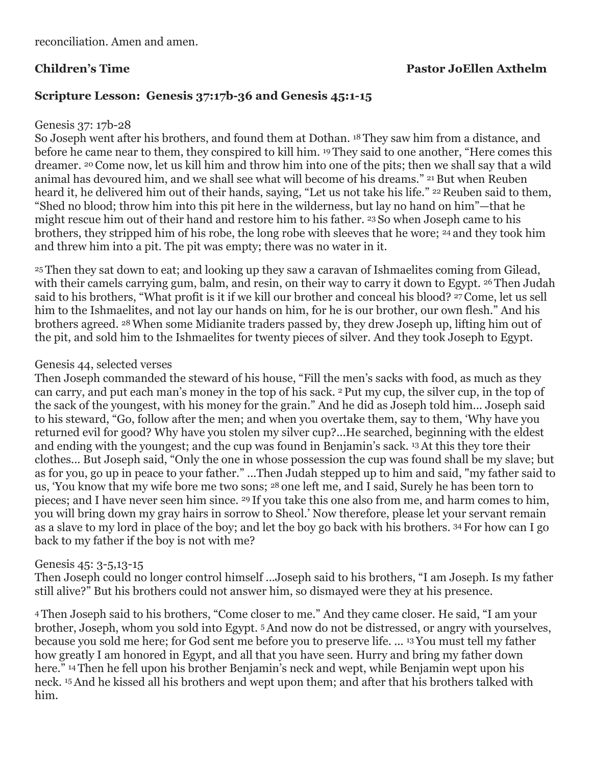# **Children's Time Pastor JoEllen Axthelm**

# **Scripture Lesson: Genesis 37:17b-36 and Genesis 45:1-15**

### Genesis 37: 17b-28

So Joseph went after his brothers, and found them at Dothan. <sup>18</sup> They saw him from a distance, and before he came near to them, they conspired to kill him. <sup>19</sup> They said to one another, "Here comes this dreamer. <sup>20</sup> Come now, let us kill him and throw him into one of the pits; then we shall say that a wild animal has devoured him, and we shall see what will become of his dreams." <sup>21</sup> But when Reuben heard it, he delivered him out of their hands, saying, "Let us not take his life." <sup>22</sup> Reuben said to them, "Shed no blood; throw him into this pit here in the wilderness, but lay no hand on him"—that he might rescue him out of their hand and restore him to his father. <sup>23</sup> So when Joseph came to his brothers, they stripped him of his robe, the long robe with sleeves that he wore; <sup>24</sup> and they took him and threw him into a pit. The pit was empty; there was no water in it.

<sup>25</sup> Then they sat down to eat; and looking up they saw a caravan of Ishmaelites coming from Gilead, with their camels carrying gum, balm, and resin, on their way to carry it down to Egypt. <sup>26</sup> Then Judah said to his brothers, "What profit is it if we kill our brother and conceal his blood? <sup>27</sup> Come, let us sell him to the Ishmaelites, and not lay our hands on him, for he is our brother, our own flesh." And his brothers agreed. 28When some Midianite traders passed by, they drew Joseph up, lifting him out of the pit, and sold him to the Ishmaelites for twenty pieces of silver. And they took Joseph to Egypt.

### Genesis 44, selected verses

Then Joseph commanded the steward of his house, "Fill the men's sacks with food, as much as they can carry, and put each man's money in the top of his sack. <sup>2</sup> Put my cup, the silver cup, in the top of the sack of the youngest, with his money for the grain." And he did as Joseph told him... Joseph said to his steward, "Go, follow after the men; and when you overtake them, say to them, 'Why have you returned evil for good? Why have you stolen my silver cup?...He searched, beginning with the eldest and ending with the youngest; and the cup was found in Benjamin's sack. 13At this they tore their clothes... But Joseph said, "Only the one in whose possession the cup was found shall be my slave; but as for you, go up in peace to your father." ...Then Judah stepped up to him and said, "my father said to us, 'You know that my wife bore me two sons; <sup>28</sup> one left me, and I said, Surely he has been torn to pieces; and I have never seen him since. <sup>29</sup> If you take this one also from me, and harm comes to him, you will bring down my gray hairs in sorrow to Sheol.' Now therefore, please let your servant remain as a slave to my lord in place of the boy; and let the boy go back with his brothers. <sup>34</sup> For how can I go back to my father if the boy is not with me?

### Genesis 45: 3-5,13-15

Then Joseph could no longer control himself ...Joseph said to his brothers, "I am Joseph. Is my father still alive?" But his brothers could not answer him, so dismayed were they at his presence.

<sup>4</sup> Then Joseph said to his brothers, "Come closer to me." And they came closer. He said, "I am your brother, Joseph, whom you sold into Egypt. 5And now do not be distressed, or angry with yourselves, because you sold me here; for God sent me before you to preserve life. ... <sup>13</sup> You must tell my father how greatly I am honored in Egypt, and all that you have seen. Hurry and bring my father down here." <sup>14</sup> Then he fell upon his brother Benjamin's neck and wept, while Benjamin wept upon his neck. 15And he kissed all his brothers and wept upon them; and after that his brothers talked with him.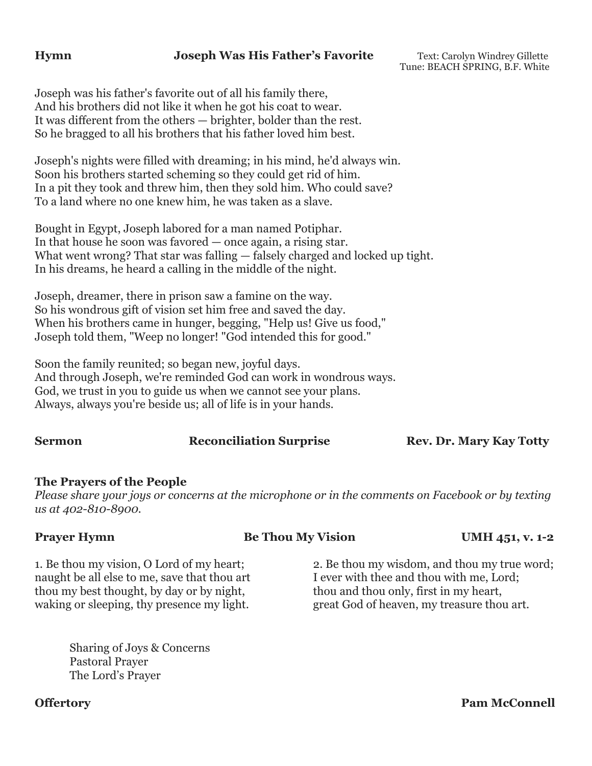### **Hymn Joseph Was His Father's Favorite** Text: Carolyn Windrey Gillette

Tune: BEACH SPRING, B.F. White

Joseph was his father's favorite out of all his family there, And his brothers did not like it when he got his coat to wear. It was different from the others — brighter, bolder than the rest. So he bragged to all his brothers that his father loved him best.

Joseph's nights were filled with dreaming; in his mind, he'd always win. Soon his brothers started scheming so they could get rid of him. In a pit they took and threw him, then they sold him. Who could save? To a land where no one knew him, he was taken as a slave.

Bought in Egypt, Joseph labored for a man named Potiphar. In that house he soon was favored — once again, a rising star. What went wrong? That star was falling — falsely charged and locked up tight. In his dreams, he heard a calling in the middle of the night.

Joseph, dreamer, there in prison saw a famine on the way. So his wondrous gift of vision set him free and saved the day. When his brothers came in hunger, begging, "Help us! Give us food," Joseph told them, "Weep no longer! "God intended this for good."

Soon the family reunited; so began new, joyful days. And through Joseph, we're reminded God can work in wondrous ways. God, we trust in you to guide us when we cannot see your plans. Always, always you're beside us; all of life is in your hands.

**Sermon Reconciliation Surprise Rev. Dr. Mary Kay Totty** 

### **The Prayers of the People**

*Please share your joys or concerns at the microphone or in the comments on Facebook or by texting us at 402-810-8900.*

**Prayer Hymn Be Thou My Vision UMH 451, v. 1-2** 

1. Be thou my vision, O Lord of my heart; 2. Be thou my wisdom, and thou my true word; naught be all else to me, save that thou art I ever with thee and thou with me, Lord; thou my best thought, by day or by night, thou and thou only, first in my heart, waking or sleeping, thy presence my light. great God of heaven, my treasure thou art.

Sharing of Joys & Concerns Pastoral Prayer The Lord's Prayer

**Offertory** Pam McConnell